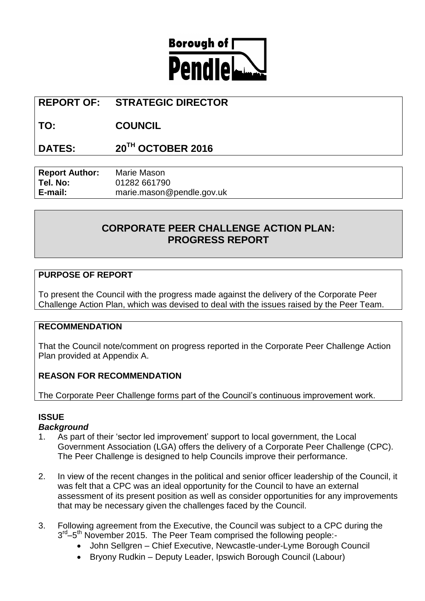

# **REPORT OF: STRATEGIC DIRECTOR**

**TO: COUNCIL**

**DATES: 20TH OCTOBER 2016**

| <b>Report Author:</b> | Marie Mason               |
|-----------------------|---------------------------|
| Tel. No:              | 01282 661790              |
| E-mail:               | marie.mason@pendle.gov.uk |

# **CORPORATE PEER CHALLENGE ACTION PLAN: PROGRESS REPORT**

# **PURPOSE OF REPORT**

To present the Council with the progress made against the delivery of the Corporate Peer Challenge Action Plan, which was devised to deal with the issues raised by the Peer Team.

### **RECOMMENDATION**

That the Council note/comment on progress reported in the Corporate Peer Challenge Action Plan provided at Appendix A.

# **REASON FOR RECOMMENDATION**

The Corporate Peer Challenge forms part of the Council's continuous improvement work.

# **ISSUE**

### *Background*

- 1. As part of their 'sector led improvement' support to local government, the Local Government Association (LGA) offers the delivery of a Corporate Peer Challenge (CPC). The Peer Challenge is designed to help Councils improve their performance.
- 2. In view of the recent changes in the political and senior officer leadership of the Council, it was felt that a CPC was an ideal opportunity for the Council to have an external assessment of its present position as well as consider opportunities for any improvements that may be necessary given the challenges faced by the Council.
- 3. Following agreement from the Executive, the Council was subject to a CPC during the 3<sup>rd</sup>-5<sup>th</sup> November 2015. The Peer Team comprised the following people:-
	- John Sellgren Chief Executive, Newcastle-under-Lyme Borough Council
	- Bryony Rudkin Deputy Leader, Ipswich Borough Council (Labour)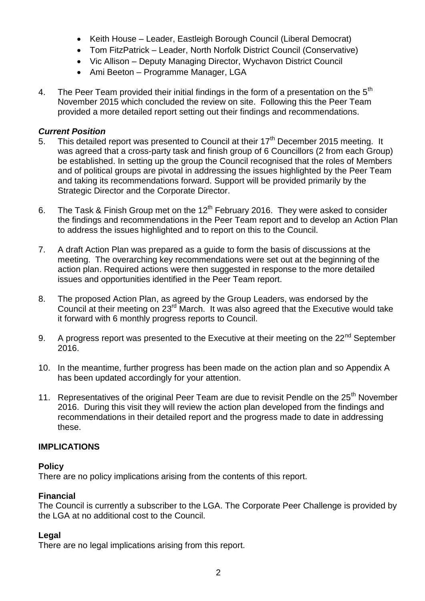- Keith House Leader, Eastleigh Borough Council (Liberal Democrat)
- Tom FitzPatrick Leader, North Norfolk District Council (Conservative)
- Vic Allison Deputy Managing Director, Wychavon District Council
- Ami Beeton Programme Manager, LGA
- 4. The Peer Team provided their initial findings in the form of a presentation on the  $5<sup>th</sup>$ November 2015 which concluded the review on site. Following this the Peer Team provided a more detailed report setting out their findings and recommendations.

## *Current Position*

- 5. This detailed report was presented to Council at their  $17<sup>th</sup>$  December 2015 meeting. It was agreed that a cross-party task and finish group of 6 Councillors (2 from each Group) be established. In setting up the group the Council recognised that the roles of Members and of political groups are pivotal in addressing the issues highlighted by the Peer Team and taking its recommendations forward. Support will be provided primarily by the Strategic Director and the Corporate Director.
- 6. The Task & Finish Group met on the  $12<sup>th</sup>$  February 2016. They were asked to consider the findings and recommendations in the Peer Team report and to develop an Action Plan to address the issues highlighted and to report on this to the Council.
- 7. A draft Action Plan was prepared as a guide to form the basis of discussions at the meeting. The overarching key recommendations were set out at the beginning of the action plan. Required actions were then suggested in response to the more detailed issues and opportunities identified in the Peer Team report.
- 8. The proposed Action Plan, as agreed by the Group Leaders, was endorsed by the Council at their meeting on 23<sup>rd</sup> March. It was also agreed that the Executive would take it forward with 6 monthly progress reports to Council.
- 9. A progress report was presented to the Executive at their meeting on the 22<sup>nd</sup> September 2016.
- 10. In the meantime, further progress has been made on the action plan and so Appendix A has been updated accordingly for your attention.
- 11. Representatives of the original Peer Team are due to revisit Pendle on the 25<sup>th</sup> November 2016. During this visit they will review the action plan developed from the findings and recommendations in their detailed report and the progress made to date in addressing these.

### **IMPLICATIONS**

### **Policy**

There are no policy implications arising from the contents of this report.

### **Financial**

The Council is currently a subscriber to the LGA. The Corporate Peer Challenge is provided by the LGA at no additional cost to the Council.

# **Legal**

There are no legal implications arising from this report.